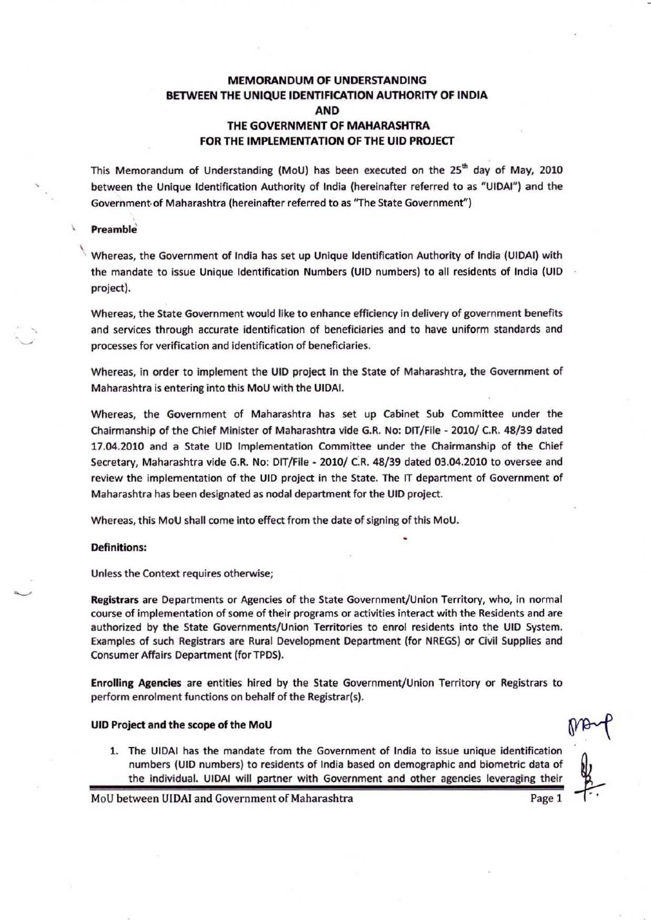# MEMORANDUM OF UNDERSTANDING BETWEEN THE UNIQUE IDENTIFICATION AUTHORITY OF INDIA AND THE GOVERNMENT OF MAHARASHTRA FOR THE IMPLEMENTATION OF THE UID PROJECT

This Memorandum of Understanding (MoU) has been executed on the 25<sup>th</sup> day of May, 2010 between the Unique Identification Authority of India (hereinafter referred to as "UIDAI") and the Government of Maharashtra (hereinafter referred to as "The State Government")

#### **Preamble**

 $\lambda$ 

,

,

"

, Whereas, the Government of India has set up Unique Identification Authority of India (UIDAI) with the mandate to issue Unique Identification Numbers (UID numbers) to all residents of India (UIO project).

Whereas. the State Government would like to enhance efficiency in delivery of government benefits and services through accurate identification of beneficiaries and to have uniform standards and processes for verification and identification of beneficiaries.

Whereas, in order to implement the UIO project in the State of Maharashtra, the Government of Maharashtra is entering into this MoU with the UIOAI.

Whereas, the Government of Maharashtra has set up Cabinet Sub Committee under the Chairmanship of the Chief Minister of Maharashtra vide G.R. No: DIT/File - 2010/ C.R. 48/39 dated 17.04.2010 and a State UID Implementation Committee under the Chairmanship of the Chief Secretary, Maharashtra vide G.R. No: OIT/Flle - 2010/ C:R. 48/39 dated 03.04.2010 to oversee and review the implementation of the UID project in the State. The IT department of Government of Maharashtra has been designated as nodal department for the UID project.

Whereas, this MoU shall come into effect from the date of signing of this MoU.

### Definitions:

Unless the Context requires otherwise;

Registrars are Departments or Agencies of the State Government/Union Territory, who, in normal course of implementation of some of their programs or activities interact with the Residents and are authorized by the State Governments/Union Territories to enrol residents into the UID System. Examples of such Registrars are Rural Development Department (for NREGS) or Civil Supplies and Consumer Affairs Department (for TPDS).

Enrolling Agencies are entities hired by the State Government/Union Territory or Registrars to perform enrolment functions on behalf of the Registrar(s).

#### UID Project and the scope of the MoU

1. The UIDAI has the mandate from the Government of India to issue unique identification iect and the scope of the MoU<br>The UIDAI has the mandate from the Government of India to issue unique identification<br>numbers (UID numbers) to residents of India based on demographic and biometric data of<br>the individual. UID the individual. UIDAI will partner with Government and other agencies leveraging their

MoU between UIDAI and Government of Maharashtra **Page 1** Page 1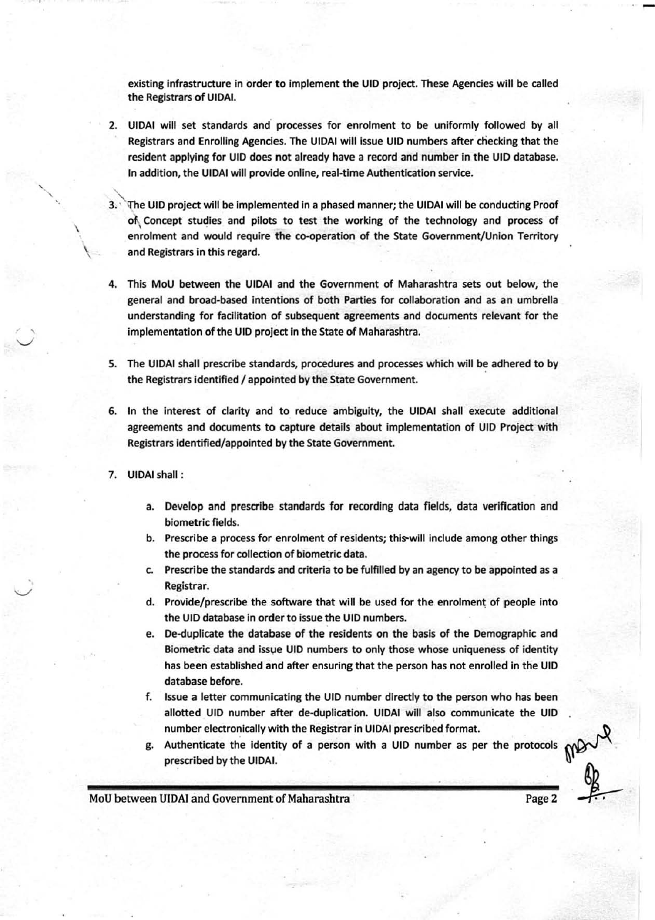existing infrastructure in order to implement the UID project. These Agencies will be called the Registrars of UIOAI.

- 2. UIDAI will set standards and processes for enrolment to be uniformly followed by all Registrars and Enrolling Agencies. The UIDAI will issue UID numbers after checking that the resident applying for UIO does not already have a record and number in the UIO database. In addition, the UIOAI will provide online, real·time Authentication service.
- 3. `The UID project will be implemented in a phased manner; the UIDAI will be conducting Proof of Concept studies and pilots to test the working of the technology and process of enrolment and would require the co-operation of the State Government/Union Territory and Registrars in this regard.
- 4. This MoU between the UIOAI and the Government of Maharashtra sets out below, the general and broad-based intentions of both Parties for collaboration and as an umbrella understanding for fadlitatlon of subsequent agreements and documents relevant for the implementation of the UID project in the State of Maharashtra.
- S. The UIOAI shall prescribe standards, procedures and processes which will be adhered to by the Registrars identified / appointed by the State Government.
- 6. In the interest of darity and to reduce ambiguity, the UIOAI shall execute additional agreements and documents to capture details about implementation of UIO Project with Registrars identified/appointed by the State Government.
- 7. UIOAI shall :

\

 $\overline{\phantom{a}}$ 

 $\backslash$ 

- a. Develop and prescribe standards for recording data fields, data verification and biometric fields.
- b. Prescribe a process for enrolment of residents; this-will include among other things the process for collection of biometric data.
- c. Prescribe the standards and criteria to be fulfilled by an agency to be appointed as a Registrar.
- d. Provide/prescribe the software that will be used for the enrolment of people into the UID database in order to issue the UID numbers.
- e. De-duplicate the database of the residents on the basis of the Demographic and Biometric data and issue UID numbers to only those whose uniqueness of identity has been established and after ensuring that the person has not enrolled in the UIO database before.
- f. fssue a letter communicating the UIO number directly to the person who has been allotted UIO number after de-duplicatlon. UIOAI will also communicate the UIO number electronically with the Registrar in UIOAI prescribed format.
- g. Authenticate the Identity of a person with a UIO number as per the protocols prescribed by the UIOAI.

MoU between UIDAI and Government of Maharashtra **Page 2** Page 2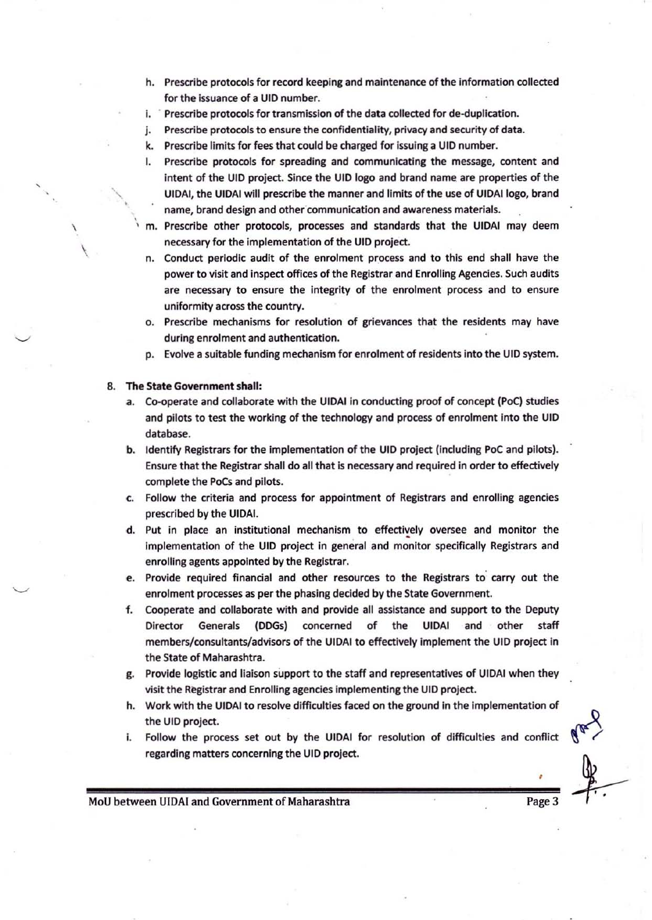- h. Prescribe protocols for record keeping and maintenance of the information collected for the issuance of a UID number.
- i. Prescribe protocols for transmission of the data collected for de-duplication.
- j. Prescribe protocols to ensure the confidentiality, privacy and security of data.
- k. Prescribe limits for fees that could be charged for issuing a UJO number.
- I. Prescribe protocols for spreading and communicating the message, content and intent of the UIO project. Since the UIO logo and brand name are properties of the UIOAI, the UIDAI will prescribe the manner and limits of the use of UIOAllogo, brand name, brand design and other communication and awareness materials .
- , m. Prescribe other protocols, processes and standards that the UIDAI may deem necessary for the implementation of the UIO project.
	- n. Conduct periodic audit of the enrolment process and to this end shall have the power to visit and inspect offices of the Registrar and Enrolling Agencies. Such audits are necessary to ensure the integrity of the enrolment process and to ensure uniformity across the country.
	- o. Prescribe mechanisms for resolution of grievances that the residents may have during enrolment and authentication.
	- p. Evolve a suitable funding mechanism for enrolment of residents into the UIO system.

#### 8. The State Government shall:

 $\ddot{\phantom{0}}$ 

\

 $\overline{\phantom{a}}$ 

, "

- a. Co-operate and collaborate with the UIDAI in conducting proof of concept (PoC) studies and pilots to test the working of the technology and process of enrolment into the UID database.
- b. Identify Registrars for the implementation of the UID project (including PoC and pilots). Ensure that the Registrar shall do all that is necessary and required in order to effectively complete the PoCs and pilots.
- c. Follow the criteria and process for appointment of Registrars and enrolling agencies prescribed by the UIOAi.
- d. Put in place an institutional mechanism to effectively oversee and monitor the implementation of the UID project in general and monitor specifically Registrars and enrolling agents appointed by the Registrar.
- e. Provide required financial and other resources to the Registrars to carry out the enrolment processes as per the phasing decided by the State Government.
- f. Cooperate and collaborate with and provide all assistance and support to the Deputy Director Generals (DDGs) concerned of the UIDAI and other staff members/consultants/advisors of the UIOAI to effectively implement the UIO project in the State of Maharashtra.
- g. Provide logistic and liaison support to the staff and representatives of UIDAI when they visit the Registrar and Enrolling agencies implementing the UJO project.
- h. Work with the UIOAI to resolve difficulties faced on the ground in the Implementation of the UIO project.
- i. Follow the process set out by the UIDAI for resolution of difficulties and conflict regarding matters concerning the UID project.

•

MoU between UIDAI and Government of Maharashtra **Page 3** Page 3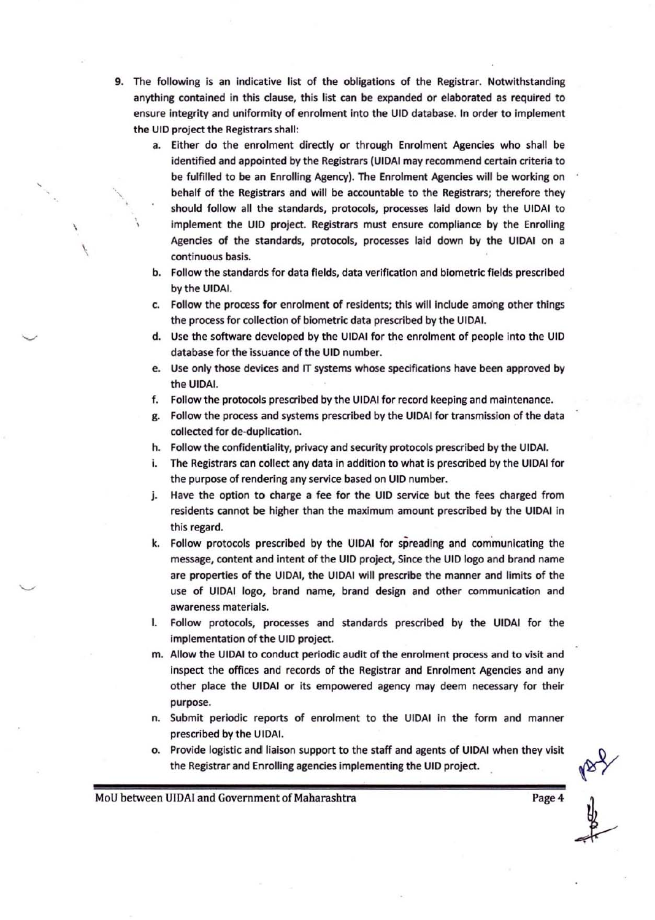- 9. The following is an indicative list of the obligations of the Registrar. Notwithstanding anything contained in this dause, this list can be expanded or elaborated as required to ensure integrity and uniformity of enrolment into the UID database. In order to implement the UIO project the Registrars shall:
	- a. Either do the enrolment directly or through Enrolment Agencies who shall be identified and appointed by the Registrars (UIDAI may recommend certain criteria to be fulfilled to be an Enrolling Agency). The Enrolment Agencies will be working on behalf of the Registrars and will be accountable to the Registrars; therefore they should follow all the standards, protocols, processes laid down by the UIDAI to implement the UID project. Registrars must ensure compliance by the Enrolling Agencies of the standards, protocols, processes laid down by the UIDAI on a continuous basis.
		- b. Follow the standards for data fields, data verification and biometric fields prescribed by the UIDAI.
		- c. Follow the process for enrolment of residents; this will Include among other things the process for collection of biometric data prescribed by the UIDAI.
		- d. Use the software developed by the UIDAI for the enrolment of people into the UID database for the Issuance of the UID number.
		- e. Use only those devices and IT systems whose spedficatlons have been approved by the UIDAI.
		- f. Follow the protocols prescribed by the UIDAI for record keeping and maintenance.
		- g. Follow the process and systems prescribed by the UIDAI for transmission of the data collected for de-duplication,
		- h. Follow the confidentiality, privacy and security protocols prescribed by the UIDAI.
		- 1. The Registrars can collect any data in addition to what Is prescribed by the UIDAI for the purpose of rendering any service based on UID number.
		- j. Have the option to charge a fee for the UID service but the fees charged from residents cannot be higher than the maximum amount prescribed by the UIDAI in this regard.
		- k. Follow protocols prescribed by the UIDAI for spreading and communicating the message, content and intent of the UID project, Since the UID logo and brand name are properties of the UIDAI, the UIDAI will prescribe the manner and limits of the use of UIDAI logo, brand name, brand design and other communication and awareness materials.
		- I, Follow protocols, processes and standards prescribed by the UIDAI for the implementation of the UID project.
		- m. Allow the UIDAI to conduct periodic audit of the enrolment process and to visit and inspect the offices and records of the Registrar and Enrolment Agencies and any other place the UIDAI or its empowered agency may deem necessary for their purpose.
		- n, Submit periodic reports of enrolment to the UIDAI In the form and manner prescribed by the UIDAI.
		- o. Provide logistic and liaison support to the staff and agents of UIDAI when they visit the Registrar and Enrolling agencies implementing the UID project.

MoU between UIDAI and Government of Maharashtra Page 4

 $\check{\phantom{0}}$ 

 $\overline{\phantom{a}^{\prime}}$